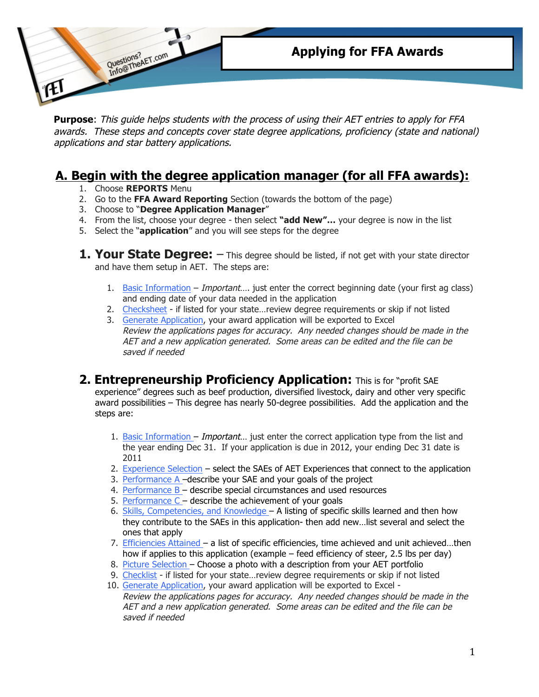

**Purpose**: This guide helps students with the process of using their AET entries to apply for FFA awards. These steps and concepts cover state degree applications, proficiency (state and national) applications and star battery applications.

## **A. Begin with the degree application manager (for all FFA awards):**

- 1. Choose **REPORTS** Menu
- 2. Go to the **FFA Award Reporting** Section (towards the bottom of the page)
- 3. Choose to "**Degree Application Manager**"
- 4. From the list, choose your degree then select **"add New"…** your degree is now in the list
- 5. Select the "**application**" and you will see steps for the degree
- **1. Your State Degree:**  $-$  This degree should be listed, if not get with your state director and have them setup in AET. The steps are:
	- 1. Basic Information *Important*..., just enter the correct beginning date (your first ag class) and ending date of your data needed in the application
	- 2. Checksheet if listed for your state…review degree requirements or skip if not listed
	- 3. Generate Application, your award application will be exported to Excel Review the applications pages for accuracy. Any needed changes should be made in the AET and a new application generated. Some areas can be edited and the file can be saved if needed

## **2. Entrepreneurship Proficiency Application:** This is for "profit SAE experience" degrees such as beef production, diversified livestock, dairy and other very specific award possibilities – This degree has nearly 50-degree possibilities. Add the application and the steps are:

- 1. Basic Information Important... just enter the correct application type from the list and the year ending Dec 31. If your application is due in 2012, your ending Dec 31 date is 2011
- 2. Experience Selection select the SAEs of AET Experiences that connect to the application
- 3. Performance A -describe your SAE and your goals of the project
- 4. Performance  $B -$  describe special circumstances and used resources
- 5. Performance  $C -$  describe the achievement of your goals
- 6. Skills, Competencies, and Knowledge A listing of specific skills learned and then how they contribute to the SAEs in this application- then add new…list several and select the ones that apply
- 7. Efficiencies Attained a list of specific efficiencies, time achieved and unit achieved...then how if applies to this application (example – feed efficiency of steer, 2.5 lbs per day)
- 8. Picture Selection Choose a photo with a description from your AET portfolio
- 9. Checklist if listed for your state…review degree requirements or skip if not listed
- 10. Generate Application, your award application will be exported to Excel Review the applications pages for accuracy. Any needed changes should be made in the AET and a new application generated. Some areas can be edited and the file can be saved if needed